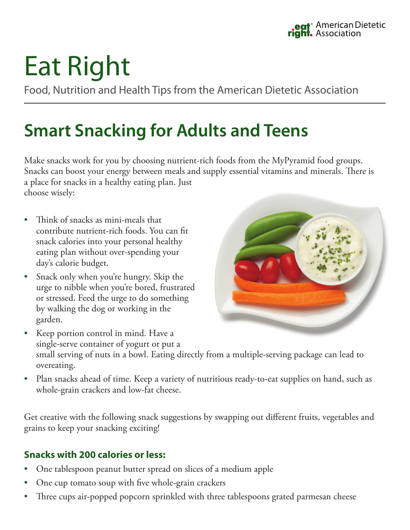# Eat Right

Food, Nutrition and Health Tips from the American Dietetic Association

### **Smart Snacking for Adults and Teens**

Make snacks work for you by choosing nutrient-rich foods from the MyPyramid food groups. Snacks can boost your energy between meals and supply essential vitamins and minerals. There is a place for snacks in a healthy eating plan. Just choose wisely:

- Think of snacks as mini-meals that contribute nutrient-rich foods. You can fit snack calories into your personal healthy eating plan without over-spending your day's calorie budget.
- Snack only when you're hungry. Skip the urge to nibble when you're bored, frustrated or stressed. Feed the urge to do something by walking the dog or working in the garden.



- Keep portion control in mind. Have a single-serve container of yogurt or put a small serving of nuts in a bowl. Eating directly from a multiple-serving package can lead to overeating.
- Plan snacks ahead of time. Keep a variety of nutritious ready-to-eat supplies on hand, such as whole-grain crackers and low-fat cheese.

Get creative with the following snack suggestions by swapping out different fruits, vegetables and grains to keep your snacking exciting!

### **Snacks with 200 calories or less:**

- One tablespoon peanut butter spread on slices of a medium apple
- One cup tomato soup with five whole-grain crackers
- Three cups air-popped popcorn sprinkled with three tablespoons grated parmesan cheese